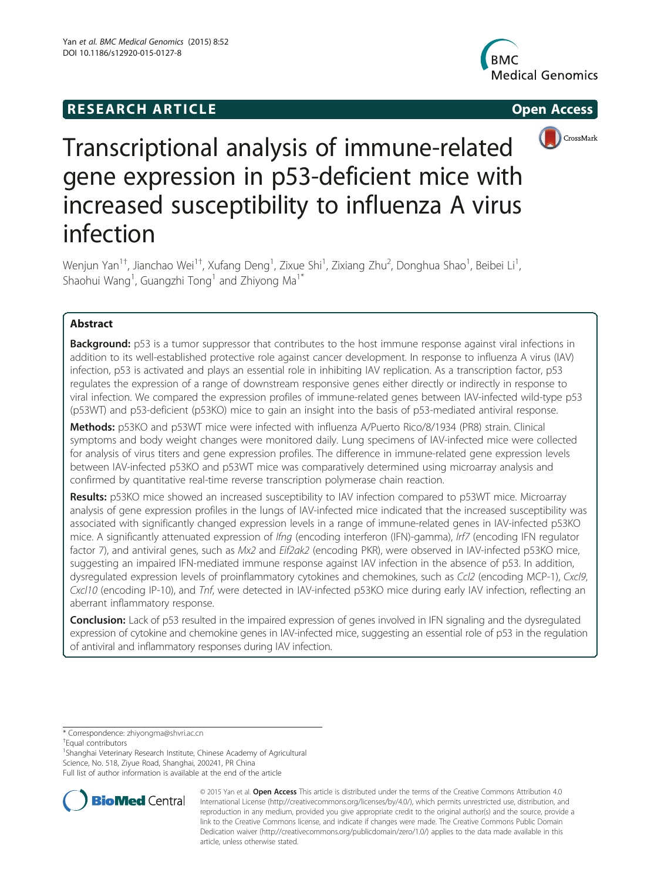## **RESEARCH ARTICLE Example 2014 CONSIDERING CONSIDERING CONSIDERING CONSIDERING CONSIDERING CONSIDERING CONSIDERING CONSIDERING CONSIDERING CONSIDERING CONSIDERING CONSIDERING CONSIDERING CONSIDERING CONSIDERING CONSIDE**





# Transcriptional analysis of immune-related gene expression in p53-deficient mice with increased susceptibility to influenza A virus infection

Wenjun Yan<sup>1†</sup>, Jianchao Wei<sup>1†</sup>, Xufang Deng<sup>1</sup>, Zixue Shi<sup>1</sup>, Zixiang Zhu<sup>2</sup>, Donghua Shao<sup>1</sup>, Beibei Li<sup>1</sup> , Shaohui Wang<sup>1</sup>, Guangzhi Tong<sup>1</sup> and Zhiyong Ma<sup>1\*</sup>

## Abstract

Background: p53 is a tumor suppressor that contributes to the host immune response against viral infections in addition to its well-established protective role against cancer development. In response to influenza A virus (IAV) infection, p53 is activated and plays an essential role in inhibiting IAV replication. As a transcription factor, p53 regulates the expression of a range of downstream responsive genes either directly or indirectly in response to viral infection. We compared the expression profiles of immune-related genes between IAV-infected wild-type p53 (p53WT) and p53-deficient (p53KO) mice to gain an insight into the basis of p53-mediated antiviral response.

Methods: p53KO and p53WT mice were infected with influenza A/Puerto Rico/8/1934 (PR8) strain. Clinical symptoms and body weight changes were monitored daily. Lung specimens of IAV-infected mice were collected for analysis of virus titers and gene expression profiles. The difference in immune-related gene expression levels between IAV-infected p53KO and p53WT mice was comparatively determined using microarray analysis and confirmed by quantitative real-time reverse transcription polymerase chain reaction.

Results: p53KO mice showed an increased susceptibility to IAV infection compared to p53WT mice. Microarray analysis of gene expression profiles in the lungs of IAV-infected mice indicated that the increased susceptibility was associated with significantly changed expression levels in a range of immune-related genes in IAV-infected p53KO mice. A significantly attenuated expression of Ifng (encoding interferon (IFN)-gamma), Irf7 (encoding IFN regulator factor 7), and antiviral genes, such as Mx2 and Eif2ak2 (encoding PKR), were observed in IAV-infected p53KO mice, suggesting an impaired IFN-mediated immune response against IAV infection in the absence of p53. In addition, dysregulated expression levels of proinflammatory cytokines and chemokines, such as Ccl2 (encoding MCP-1), Cxcl9, Cxcl10 (encoding IP-10), and Tnf, were detected in IAV-infected p53KO mice during early IAV infection, reflecting an aberrant inflammatory response.

Conclusion: Lack of p53 resulted in the impaired expression of genes involved in IFN signaling and the dysregulated expression of cytokine and chemokine genes in IAV-infected mice, suggesting an essential role of p53 in the regulation of antiviral and inflammatory responses during IAV infection.

\* Correspondence: [zhiyongma@shvri.ac.cn](mailto:zhiyongma@shvri.ac.cn) †

Equal contributors

<sup>1</sup>Shanghai Veterinary Research Institute, Chinese Academy of Agricultural Science, No. 518, Ziyue Road, Shanghai, 200241, PR China

Full list of author information is available at the end of the article



© 2015 Yan et al. Open Access This article is distributed under the terms of the Creative Commons Attribution 4.0 International License (http://creativecommons.org/licenses/by/4.0/), which permits unrestricted use, distribution, and reproduction in any medium, provided you give appropriate credit to the original author(s) and the source, provide a link to the Creative Commons license, and indicate if changes were made. The Creative Commons Public Domain Dedication waiver (http://creativecommons.org/publicdomain/zero/1.0/) applies to the data made available in this article, unless otherwise stated.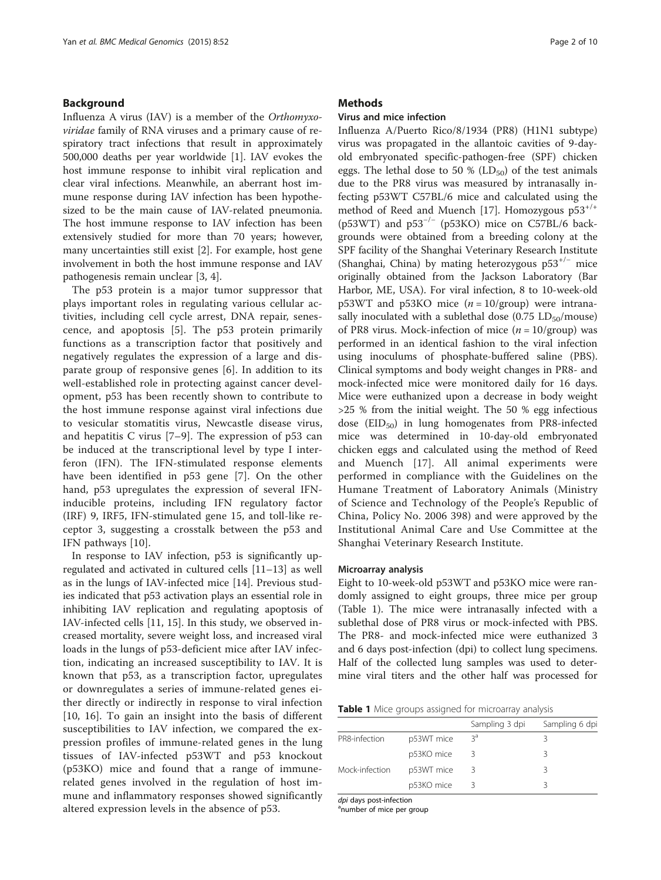#### Background

Influenza A virus (IAV) is a member of the Orthomyxoviridae family of RNA viruses and a primary cause of respiratory tract infections that result in approximately 500,000 deaths per year worldwide [\[1](#page-8-0)]. IAV evokes the host immune response to inhibit viral replication and clear viral infections. Meanwhile, an aberrant host immune response during IAV infection has been hypothesized to be the main cause of IAV-related pneumonia. The host immune response to IAV infection has been extensively studied for more than 70 years; however, many uncertainties still exist [\[2](#page-8-0)]. For example, host gene involvement in both the host immune response and IAV pathogenesis remain unclear [[3, 4\]](#page-8-0).

The p53 protein is a major tumor suppressor that plays important roles in regulating various cellular activities, including cell cycle arrest, DNA repair, senescence, and apoptosis [\[5](#page-8-0)]. The p53 protein primarily functions as a transcription factor that positively and negatively regulates the expression of a large and disparate group of responsive genes [[6\]](#page-8-0). In addition to its well-established role in protecting against cancer development, p53 has been recently shown to contribute to the host immune response against viral infections due to vesicular stomatitis virus, Newcastle disease virus, and hepatitis C virus [\[7](#page-8-0)–[9](#page-9-0)]. The expression of p53 can be induced at the transcriptional level by type I interferon (IFN). The IFN-stimulated response elements have been identified in p53 gene [[7\]](#page-8-0). On the other hand, p53 upregulates the expression of several IFNinducible proteins, including IFN regulatory factor (IRF) 9, IRF5, IFN-stimulated gene 15, and toll-like receptor 3, suggesting a crosstalk between the p53 and IFN pathways [\[10](#page-9-0)].

In response to IAV infection, p53 is significantly upregulated and activated in cultured cells [\[11](#page-9-0)–[13\]](#page-9-0) as well as in the lungs of IAV-infected mice [[14\]](#page-9-0). Previous studies indicated that p53 activation plays an essential role in inhibiting IAV replication and regulating apoptosis of IAV-infected cells [[11](#page-9-0), [15](#page-9-0)]. In this study, we observed increased mortality, severe weight loss, and increased viral loads in the lungs of p53-deficient mice after IAV infection, indicating an increased susceptibility to IAV. It is known that p53, as a transcription factor, upregulates or downregulates a series of immune-related genes either directly or indirectly in response to viral infection [[10, 16](#page-9-0)]. To gain an insight into the basis of different susceptibilities to IAV infection, we compared the expression profiles of immune-related genes in the lung tissues of IAV-infected p53WT and p53 knockout (p53KO) mice and found that a range of immunerelated genes involved in the regulation of host immune and inflammatory responses showed significantly altered expression levels in the absence of p53.

#### **Methods**

### Virus and mice infection

Influenza A/Puerto Rico/8/1934 (PR8) (H1N1 subtype) virus was propagated in the allantoic cavities of 9-dayold embryonated specific-pathogen-free (SPF) chicken eggs. The lethal dose to 50 % ( $LD_{50}$ ) of the test animals due to the PR8 virus was measured by intranasally infecting p53WT C57BL/6 mice and calculated using the method of Reed and Muench [[17\]](#page-9-0). Homozygous  $p53^{+/+}$ (p53WT) and p53<sup>-/-</sup> (p53KO) mice on C57BL/6 backgrounds were obtained from a breeding colony at the SPF facility of the Shanghai Veterinary Research Institute (Shanghai, China) by mating heterozygous  $p53^{+/}$  mice originally obtained from the Jackson Laboratory (Bar Harbor, ME, USA). For viral infection, 8 to 10-week-old  $p53WT$  and  $p53KO$  mice  $(n = 10/group)$  were intranasally inoculated with a sublethal dose  $(0.75 \text{ LD}_{50}/\text{mouse})$ of PR8 virus. Mock-infection of mice  $(n = 10/\text{group})$  was performed in an identical fashion to the viral infection using inoculums of phosphate-buffered saline (PBS). Clinical symptoms and body weight changes in PR8- and mock-infected mice were monitored daily for 16 days. Mice were euthanized upon a decrease in body weight >25 % from the initial weight. The 50 % egg infectious dose  $(EID_{50})$  in lung homogenates from PR8-infected mice was determined in 10-day-old embryonated chicken eggs and calculated using the method of Reed and Muench [[17\]](#page-9-0). All animal experiments were performed in compliance with the Guidelines on the Humane Treatment of Laboratory Animals (Ministry of Science and Technology of the People's Republic of China, Policy No. 2006 398) and were approved by the Institutional Animal Care and Use Committee at the Shanghai Veterinary Research Institute.

#### Microarray analysis

Eight to 10-week-old p53WT and p53KO mice were randomly assigned to eight groups, three mice per group (Table 1). The mice were intranasally infected with a sublethal dose of PR8 virus or mock-infected with PBS. The PR8- and mock-infected mice were euthanized 3 and 6 days post-infection (dpi) to collect lung specimens. Half of the collected lung samples was used to determine viral titers and the other half was processed for

|  |  |  |  |  | Table 1 Mice groups assigned for microarray analysis |  |  |
|--|--|--|--|--|------------------------------------------------------|--|--|
|--|--|--|--|--|------------------------------------------------------|--|--|

|                |            | Sampling 3 dpi | Sampling 6 dpi |
|----------------|------------|----------------|----------------|
| PR8-infection  | p53WT mice | ζa             | Κ              |
|                | p53KO mice |                | 3              |
| Mock-infection | p53WT mice |                | R              |
|                | p53KO mice |                | 2              |

dpi days post-infection

<sup>a</sup>number of mice per group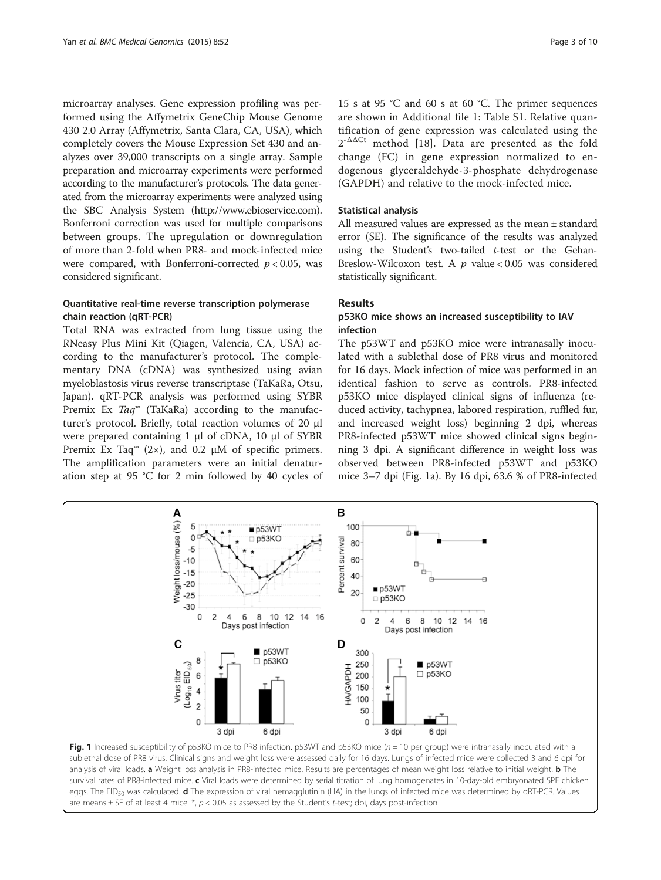<span id="page-2-0"></span>microarray analyses. Gene expression profiling was performed using the Affymetrix GeneChip Mouse Genome 430 2.0 Array (Affymetrix, Santa Clara, CA, USA), which completely covers the Mouse Expression Set 430 and analyzes over 39,000 transcripts on a single array. Sample preparation and microarray experiments were performed according to the manufacturer's protocols. The data generated from the microarray experiments were analyzed using the SBC Analysis System [\(http://www.ebioservice.com](http://www.ebioservice.com)). Bonferroni correction was used for multiple comparisons between groups. The upregulation or downregulation of more than 2-fold when PR8- and mock-infected mice were compared, with Bonferroni-corrected  $p < 0.05$ , was considered significant.

## Quantitative real-time reverse transcription polymerase chain reaction (qRT-PCR)

Total RNA was extracted from lung tissue using the RNeasy Plus Mini Kit (Qiagen, Valencia, CA, USA) according to the manufacturer's protocol. The complementary DNA (cDNA) was synthesized using avian myeloblastosis virus reverse transcriptase (TaKaRa, Otsu, Japan). qRT-PCR analysis was performed using SYBR Premix Ex  $Taq^{m}$  (TaKaRa) according to the manufacturer's protocol. Briefly, total reaction volumes of 20 μl were prepared containing 1 μl of cDNA, 10 μl of SYBR Premix Ex Taq<sup>™</sup> (2×), and 0.2  $\mu$ M of specific primers. The amplification parameters were an initial denaturation step at 95 °C for 2 min followed by 40 cycles of

15 s at 95 °C and 60 s at 60 °C. The primer sequences are shown in Additional file [1](#page-8-0): Table S1. Relative quantification of gene expression was calculated using the 2-ΔΔCt method [\[18](#page-9-0)]. Data are presented as the fold change (FC) in gene expression normalized to endogenous glyceraldehyde-3-phosphate dehydrogenase (GAPDH) and relative to the mock-infected mice.

#### Statistical analysis

All measured values are expressed as the mean ± standard error (SE). The significance of the results was analyzed using the Student's two-tailed  $t$ -test or the Gehan-Breslow-Wilcoxon test. A  $p$  value < 0.05 was considered statistically significant.

#### Results

## p53KO mice shows an increased susceptibility to IAV infection

The p53WT and p53KO mice were intranasally inoculated with a sublethal dose of PR8 virus and monitored for 16 days. Mock infection of mice was performed in an identical fashion to serve as controls. PR8-infected p53KO mice displayed clinical signs of influenza (reduced activity, tachypnea, labored respiration, ruffled fur, and increased weight loss) beginning 2 dpi, whereas PR8-infected p53WT mice showed clinical signs beginning 3 dpi. A significant difference in weight loss was observed between PR8-infected p53WT and p53KO mice 3–7 dpi (Fig. 1a). By 16 dpi, 63.6 % of PR8-infected



Fig. 1 Increased susceptibility of p53KO mice to PR8 infection. p53WT and p53KO mice (n = 10 per group) were intranasally inoculated with a sublethal dose of PR8 virus. Clinical signs and weight loss were assessed daily for 16 days. Lungs of infected mice were collected 3 and 6 dpi for analysis of viral loads. a Weight loss analysis in PR8-infected mice. Results are percentages of mean weight loss relative to initial weight. b The survival rates of PR8-infected mice. c Viral loads were determined by serial titration of lung homogenates in 10-day-old embryonated SPF chicken eggs. The EID<sub>50</sub> was calculated. d The expression of viral hemagglutinin (HA) in the lungs of infected mice was determined by qRT-PCR. Values are means  $\pm$  SE of at least 4 mice. \*,  $p < 0.05$  as assessed by the Student's t-test; dpi, days post-infection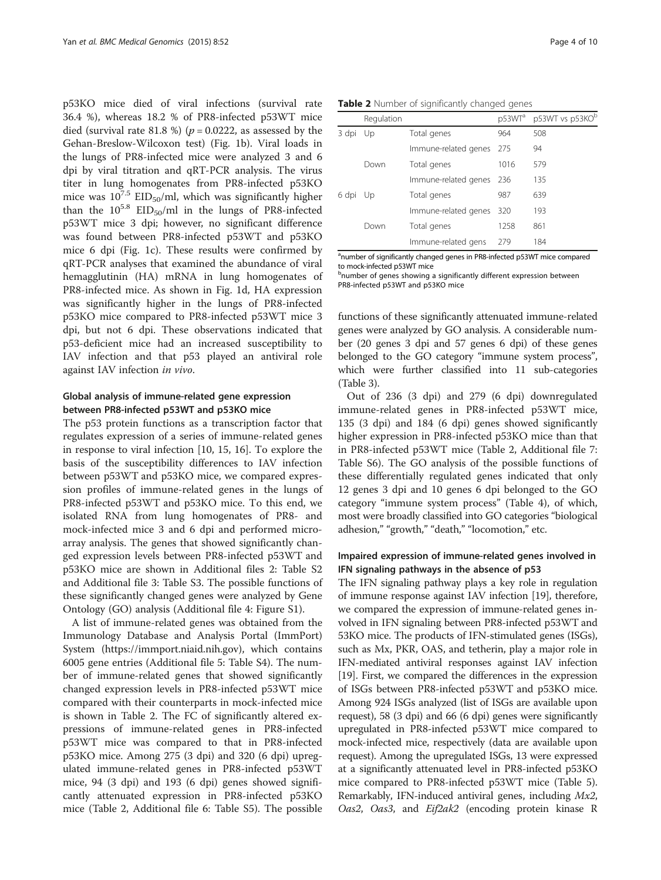<span id="page-3-0"></span>p53KO mice died of viral infections (survival rate 36.4 %), whereas 18.2 % of PR8-infected p53WT mice died (survival rate 81.8 %) ( $p = 0.0222$ , as assessed by the Gehan-Breslow-Wilcoxon test) (Fig. [1b](#page-2-0)). Viral loads in the lungs of PR8-infected mice were analyzed 3 and 6 dpi by viral titration and qRT-PCR analysis. The virus titer in lung homogenates from PR8-infected p53KO mice was  $10^{7.5}$  EID<sub>50</sub>/ml, which was significantly higher than the  $10^{5.8}$  EID<sub>50</sub>/ml in the lungs of PR8-infected p53WT mice 3 dpi; however, no significant difference was found between PR8-infected p53WT and p53KO mice 6 dpi (Fig. [1c\)](#page-2-0). These results were confirmed by qRT-PCR analyses that examined the abundance of viral hemagglutinin (HA) mRNA in lung homogenates of PR8-infected mice. As shown in Fig. [1d](#page-2-0), HA expression was significantly higher in the lungs of PR8-infected p53KO mice compared to PR8-infected p53WT mice 3 dpi, but not 6 dpi. These observations indicated that p53-deficient mice had an increased susceptibility to IAV infection and that p53 played an antiviral role against IAV infection in vivo.

#### Global analysis of immune-related gene expression between PR8-infected p53WT and p53KO mice

The p53 protein functions as a transcription factor that regulates expression of a series of immune-related genes in response to viral infection [\[10, 15](#page-9-0), [16](#page-9-0)]. To explore the basis of the susceptibility differences to IAV infection between p53WT and p53KO mice, we compared expression profiles of immune-related genes in the lungs of PR8-infected p53WT and p53KO mice. To this end, we isolated RNA from lung homogenates of PR8- and mock-infected mice 3 and 6 dpi and performed microarray analysis. The genes that showed significantly changed expression levels between PR8-infected p53WT and p53KO mice are shown in Additional files [2:](#page-8-0) Table S2 and Additional file [3](#page-8-0): Table S3. The possible functions of these significantly changed genes were analyzed by Gene Ontology (GO) analysis (Additional file [4:](#page-8-0) Figure S1).

A list of immune-related genes was obtained from the Immunology Database and Analysis Portal (ImmPort) System ([https://immport.niaid.nih.gov\)](https://immport.niaid.nih.gov), which contains 6005 gene entries (Additional file [5:](#page-8-0) Table S4). The number of immune-related genes that showed significantly changed expression levels in PR8-infected p53WT mice compared with their counterparts in mock-infected mice is shown in Table 2. The FC of significantly altered expressions of immune-related genes in PR8-infected p53WT mice was compared to that in PR8-infected p53KO mice. Among 275 (3 dpi) and 320 (6 dpi) upregulated immune-related genes in PR8-infected p53WT mice, 94 (3 dpi) and 193 (6 dpi) genes showed significantly attenuated expression in PR8-infected p53KO mice (Table 2, Additional file [6:](#page-8-0) Table S5). The possible

|          | Regulation |                          | p53WT <sup>a</sup> | p53WT vs p53KO <sup>b</sup> |
|----------|------------|--------------------------|--------------------|-----------------------------|
| 3 dpi Up |            | Total genes              | 964                | 508                         |
|          |            | Immune-related genes     | 275                | 94                          |
|          | Down       | Total genes              | 1016               | 579                         |
|          |            | Immune-related genes 236 |                    | 135                         |
| 6 dpi Up |            | Total genes              | 987                | 639                         |
|          |            | Immune-related genes     | 320                | 193                         |
|          | Down       | Total genes              | 1258               | 861                         |

Table 2 Number of significantly changed genes

<sup>a</sup>number of significantly changed genes in PR8-infected p53WT mice compared to mock-infected p53WT mice

Immune-related gens 279 184

bnumber of genes showing a significantly different expression between PR8-infected p53WT and p53KO mice

functions of these significantly attenuated immune-related genes were analyzed by GO analysis. A considerable number (20 genes 3 dpi and 57 genes 6 dpi) of these genes belonged to the GO category "immune system process", which were further classified into 11 sub-categories (Table [3](#page-4-0)).

Out of 236 (3 dpi) and 279 (6 dpi) downregulated immune-related genes in PR8-infected p53WT mice, 135 (3 dpi) and 184 (6 dpi) genes showed significantly higher expression in PR8-infected p53KO mice than that in PR8-infected p53WT mice (Table 2, Additional file [7](#page-8-0): Table S6). The GO analysis of the possible functions of these differentially regulated genes indicated that only 12 genes 3 dpi and 10 genes 6 dpi belonged to the GO category "immune system process" (Table [4](#page-4-0)), of which, most were broadly classified into GO categories "biological adhesion," "growth," "death," "locomotion," etc.

## Impaired expression of immune-related genes involved in IFN signaling pathways in the absence of p53

The IFN signaling pathway plays a key role in regulation of immune response against IAV infection [\[19](#page-9-0)], therefore, we compared the expression of immune-related genes involved in IFN signaling between PR8-infected p53WT and 53KO mice. The products of IFN-stimulated genes (ISGs), such as Mx, PKR, OAS, and tetherin, play a major role in IFN-mediated antiviral responses against IAV infection [[19](#page-9-0)]. First, we compared the differences in the expression of ISGs between PR8-infected p53WT and p53KO mice. Among 924 ISGs analyzed (list of ISGs are available upon request), 58 (3 dpi) and 66 (6 dpi) genes were significantly upregulated in PR8-infected p53WT mice compared to mock-infected mice, respectively (data are available upon request). Among the upregulated ISGs, 13 were expressed at a significantly attenuated level in PR8-infected p53KO mice compared to PR8-infected p53WT mice (Table [5](#page-5-0)). Remarkably, IFN-induced antiviral genes, including Mx2, Oas2, Oas3, and Eif2ak2 (encoding protein kinase R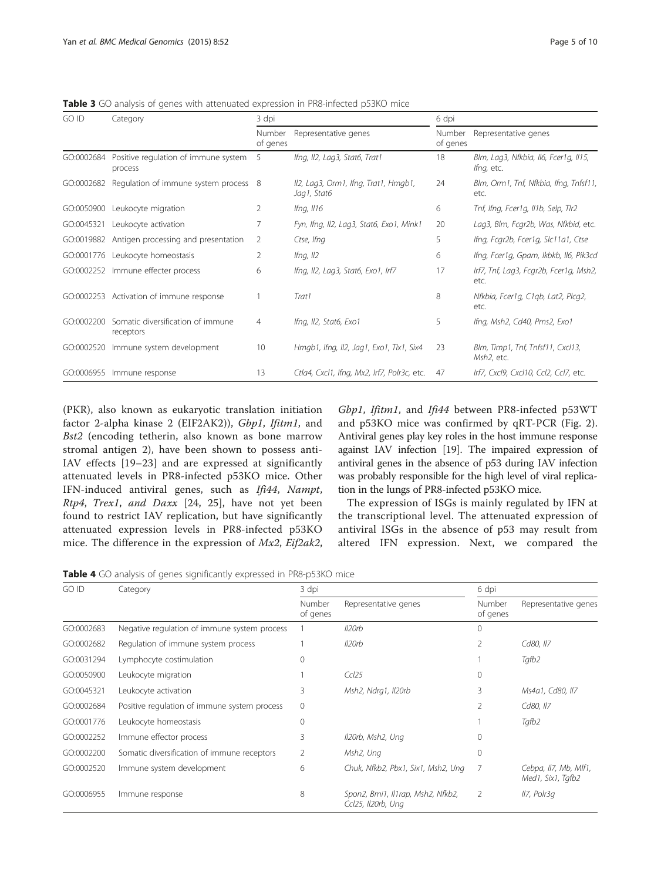<span id="page-4-0"></span>**Table 3** GO analysis of genes with attenuated expression in PR8-infected p53KO mice

| GO ID      | Category                                        | 3 dpi              |                                                     | 6 dpi              |                                                     |
|------------|-------------------------------------------------|--------------------|-----------------------------------------------------|--------------------|-----------------------------------------------------|
|            |                                                 | Number<br>of genes | Representative genes                                | Number<br>of genes | Representative genes                                |
| GO:0002684 | Positive regulation of immune system<br>process | -5                 | Ifng, II2, Lag3, Stat6, Trat1                       | 18                 | Blm, Lag3, Nfkbia, Il6, Fcer1g, Il15,<br>lfng, etc. |
| GO:0002682 | Regulation of immune system process 8           |                    | Il2, Lag3, Orm1, Ifng, Trat1, Hmgb1,<br>Jag1, Stat6 | 24                 | Blm, Orm1, Tnf, Nfkbia, Ifng, Tnfsf11,<br>etc.      |
| GO:0050900 | Leukocyte migration                             | 2                  | Ifng, $II16$                                        | 6                  | Tnf, Ifng, Fcer1g, Il1b, Selp, Tlr2                 |
| GO:0045321 | Leukocyte activation                            |                    | Fyn, Ifng, II2, Lag3, Stat6, Exo1, Mink1            | 20                 | Lag3, Blm, Fcgr2b, Was, Nfkbid, etc.                |
|            | GO:0019882 Antigen processing and presentation  | 2                  | Ctse, Ifng                                          | 5                  | lfng, Fcgr2b, Fcer1g, Slc11a1, Ctse                 |
| GO:0001776 | Leukocyte homeostasis                           | 2                  | Ifng, $II2$                                         | 6                  | lfng, Fcer1g, Gpam, Ikbkb, Il6, Pik3cd              |
|            | GO:0002252 Immune effecter process              | 6                  | lfng, Il2, Lag3, Stat6, Exo1, Irf7                  | 17                 | Irf7, Tnf, Lag3, Fcgr2b, Fcer1g, Msh2,<br>etc.      |
|            | GO:0002253 Activation of immune response        |                    | Trat1                                               | 8                  | Nfkbia, Fcer1g, C1gb, Lat2, Plcg2,<br>etc.          |
| GO:0002200 | Somatic diversification of immune<br>receptors  | $\overline{4}$     | Ifng, II2, Stat6, Exo1                              | 5                  | lfng, Msh2, Cd40, Pms2, Exo1                        |
| GO:0002520 | Immune system development                       | 10                 | Hmgb1, Ifng, II2, Jag1, Exo1, Tlx1, Six4            | 23                 | Blm, Timp1, Tnf, Tnfsf11, Cxcl13,<br>Msh2, etc.     |
| GO:0006955 | Immune response                                 | 13                 | Ctla4, Cxcl1, Ifng, Mx2, Irf7, Polr3c, etc.         | 47                 | Irf7, Cxcl9, Cxcl10, Ccl2, Ccl7, etc.               |

(PKR), also known as eukaryotic translation initiation factor 2-alpha kinase 2 (EIF2AK2)), Gbp1, Ifitm1, and Bst2 (encoding tetherin, also known as bone marrow stromal antigen 2), have been shown to possess anti-IAV effects [\[19](#page-9-0)–[23](#page-9-0)] and are expressed at significantly attenuated levels in PR8-infected p53KO mice. Other IFN-induced antiviral genes, such as Ifi44, Nampt, Rtp4, Trex1, and Daxx [\[24](#page-9-0), [25](#page-9-0)], have not yet been found to restrict IAV replication, but have significantly attenuated expression levels in PR8-infected p53KO mice. The difference in the expression of  $Mx2$ ,  $Eif2ak2$ ,

Gbp1, Ifitm1, and Ifi44 between PR8-infected p53WT and p53KO mice was confirmed by qRT-PCR (Fig. [2](#page-5-0)). Antiviral genes play key roles in the host immune response against IAV infection [\[19](#page-9-0)]. The impaired expression of antiviral genes in the absence of p53 during IAV infection was probably responsible for the high level of viral replication in the lungs of PR8-infected p53KO mice.

The expression of ISGs is mainly regulated by IFN at the transcriptional level. The attenuated expression of antiviral ISGs in the absence of p53 may result from altered IFN expression. Next, we compared the

Table 4 GO analysis of genes significantly expressed in PR8-p53KO mice

| GO ID      | Category                                     | 3 dpi              |                                                         | 6 dpi              |                                            |
|------------|----------------------------------------------|--------------------|---------------------------------------------------------|--------------------|--------------------------------------------|
|            |                                              | Number<br>of genes | Representative genes                                    | Number<br>of genes | Representative genes                       |
| GO:0002683 | Negative regulation of immune system process |                    | Il20rb                                                  | $\Omega$           |                                            |
| GO:0002682 | Regulation of immune system process          |                    | Il <sub>20rb</sub>                                      | 2                  | Cd80, II7                                  |
| GO:0031294 | Lymphocyte costimulation                     | 0                  |                                                         |                    | Tqfb2                                      |
| GO:0050900 | Leukocyte migration                          |                    | Ccl25                                                   | $\mathbf{0}$       |                                            |
| GO:0045321 | Leukocyte activation                         | 3                  | Msh2, Ndrg1, Il20rb                                     | 3                  | Ms4a1, Cd80, II7                           |
| GO:0002684 | Positive regulation of immune system process | $\mathbf{0}$       |                                                         | 2                  | Cd80, II7                                  |
| GO:0001776 | Leukocyte homeostasis                        | 0                  |                                                         |                    | Tgfb2                                      |
| GO:0002252 | Immune effector process                      | 3                  | Il20rb, Msh2, Ung                                       | $\Omega$           |                                            |
| GO:0002200 | Somatic diversification of immune receptors  | 2                  | Msh2, Ung                                               | $\mathbf 0$        |                                            |
| GO:0002520 | Immune system development                    | 6                  | Chuk, Nfkb2, Pbx1, Six1, Msh2, Ung                      | 7                  | Cebpa, II7, Mb, MIf1,<br>Med1, Six1, Tafb2 |
| GO:0006955 | Immune response                              | 8                  | Spon2, Bmi1, Il1rap, Msh2, Nfkb2,<br>Ccl25, Il20rb, Ung | 2                  | II7, Polr3q                                |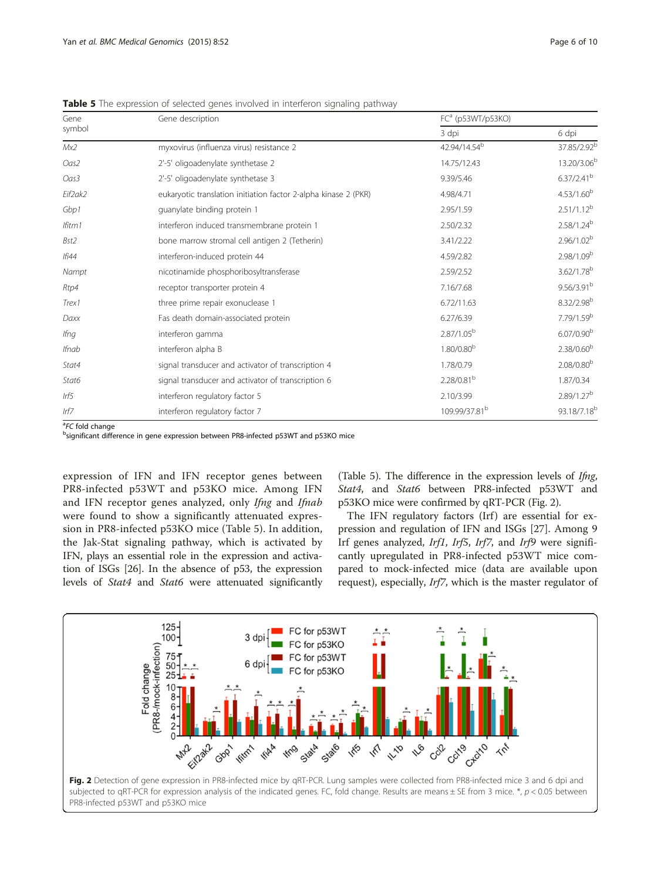| Gene         | Gene description                                                | FC <sup>a</sup> (p53WT/p53KO) |                         |  |
|--------------|-----------------------------------------------------------------|-------------------------------|-------------------------|--|
| symbol       |                                                                 | 3 dpi                         | 6 dpi                   |  |
| Mx2          | myxovirus (influenza virus) resistance 2                        | 42.94/14.54 <sup>b</sup>      | 37.85/2.92 <sup>b</sup> |  |
| Oas2         | 2'-5' oligoadenylate synthetase 2                               | 14.75/12.43                   | 13.20/3.06 <sup>b</sup> |  |
| Oas3         | 2'-5' oligoadenylate synthetase 3                               | 9.39/5.46                     | 6.37/2.41 <sup>b</sup>  |  |
| Eif2ak2      | eukaryotic translation initiation factor 2-alpha kinase 2 (PKR) | 4.98/4.71                     | $4.53/1.60^{b}$         |  |
| Gbp1         | quanylate binding protein 1                                     | 2.95/1.59                     | $2.51/1.12^{b}$         |  |
| Ifitm1       | interferon induced transmembrane protein 1                      | 2.50/2.32                     | 2.58/1.24 <sup>b</sup>  |  |
| Bst2         | bone marrow stromal cell antigen 2 (Tetherin)                   | 3.41/2.22                     | 2.96/1.02 <sup>b</sup>  |  |
| $If$ i44     | interferon-induced protein 44                                   | 4.59/2.82                     | 2.98/1.09 <sup>b</sup>  |  |
| Nampt        | nicotinamide phosphoribosyltransferase                          | 2.59/2.52                     | 3.62/1.78 <sup>b</sup>  |  |
| Rtp4         | receptor transporter protein 4                                  | 7.16/7.68                     | 9.56/3.91 <sup>b</sup>  |  |
| Trex1        | three prime repair exonuclease 1                                | 6.72/11.63                    | 8.32/2.98 <sup>b</sup>  |  |
| Daxx         | Fas death domain-associated protein                             | 6.27/6.39                     | 7.79/1.59 <sup>b</sup>  |  |
| Ifng         | interferon gamma                                                | $2.87/1.05^b$                 | $6.07/0.90^{b}$         |  |
| <b>Ifnab</b> | interferon alpha B                                              | $1.80/0.80^{b}$               | 2.38/0.60 <sup>b</sup>  |  |
| Stat4        | signal transducer and activator of transcription 4              | 1.78/0.79                     | $2.08/0.80^{b}$         |  |
| Stat6        | signal transducer and activator of transcription 6              | 2.28/0.81 <sup>b</sup>        | 1.87/0.34               |  |
| Irf5         | interferon regulatory factor 5                                  | 2.10/3.99                     | 2.89/1.27 <sup>b</sup>  |  |
| Irf7         | interferon regulatory factor 7                                  | 109.99/37.81 <sup>b</sup>     | 93.18/7.18 <sup>b</sup> |  |

<span id="page-5-0"></span>**Table 5** The expression of selected genes involved in interferon signaling pathway

<sup>a</sup>FC fold change<br><sup>b</sup>significant diffe

bsignificant difference in gene expression between PR8-infected p53WT and p53KO mice

expression of IFN and IFN receptor genes between PR8-infected p53WT and p53KO mice. Among IFN and IFN receptor genes analyzed, only Ifng and Ifnab were found to show a significantly attenuated expression in PR8-infected p53KO mice (Table 5). In addition, the Jak-Stat signaling pathway, which is activated by IFN, plays an essential role in the expression and activation of ISGs [[26](#page-9-0)]. In the absence of p53, the expression levels of Stat4 and Stat6 were attenuated significantly

(Table 5). The difference in the expression levels of Ifng, Stat4, and Stat6 between PR8-infected p53WT and p53KO mice were confirmed by qRT-PCR (Fig. 2).

The IFN regulatory factors (Irf) are essential for expression and regulation of IFN and ISGs [\[27\]](#page-9-0). Among 9 Irf genes analyzed, Irf1, Irf5, Irf7, and Irf9 were significantly upregulated in PR8-infected p53WT mice compared to mock-infected mice (data are available upon request), especially, Irf7, which is the master regulator of

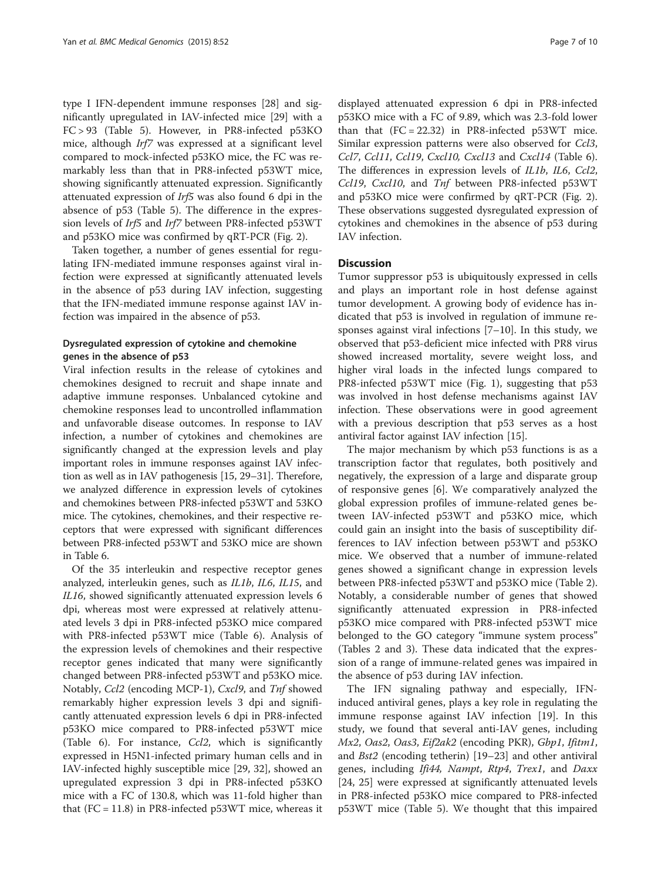type I IFN-dependent immune responses [[28\]](#page-9-0) and significantly upregulated in IAV-infected mice [[29\]](#page-9-0) with a FC > 93 (Table [5\)](#page-5-0). However, in PR8-infected p53KO mice, although Irf7 was expressed at a significant level compared to mock-infected p53KO mice, the FC was remarkably less than that in PR8-infected p53WT mice, showing significantly attenuated expression. Significantly attenuated expression of Irf5 was also found 6 dpi in the absence of p53 (Table [5\)](#page-5-0). The difference in the expression levels of Irf5 and Irf7 between PR8-infected p53WT and p53KO mice was confirmed by qRT-PCR (Fig. [2](#page-5-0)).

Taken together, a number of genes essential for regulating IFN-mediated immune responses against viral infection were expressed at significantly attenuated levels in the absence of p53 during IAV infection, suggesting that the IFN-mediated immune response against IAV infection was impaired in the absence of p53.

## Dysregulated expression of cytokine and chemokine genes in the absence of p53

Viral infection results in the release of cytokines and chemokines designed to recruit and shape innate and adaptive immune responses. Unbalanced cytokine and chemokine responses lead to uncontrolled inflammation and unfavorable disease outcomes. In response to IAV infection, a number of cytokines and chemokines are significantly changed at the expression levels and play important roles in immune responses against IAV infection as well as in IAV pathogenesis [[15](#page-9-0), [29](#page-9-0)–[31](#page-9-0)]. Therefore, we analyzed difference in expression levels of cytokines and chemokines between PR8-infected p53WT and 53KO mice. The cytokines, chemokines, and their respective receptors that were expressed with significant differences between PR8-infected p53WT and 53KO mice are shown in Table [6](#page-7-0).

Of the 35 interleukin and respective receptor genes analyzed, interleukin genes, such as IL1b, IL6, IL15, and IL16, showed significantly attenuated expression levels 6 dpi, whereas most were expressed at relatively attenuated levels 3 dpi in PR8-infected p53KO mice compared with PR8-infected p53WT mice (Table [6](#page-7-0)). Analysis of the expression levels of chemokines and their respective receptor genes indicated that many were significantly changed between PR8-infected p53WT and p53KO mice. Notably, Ccl2 (encoding MCP-1), Cxcl9, and Tnf showed remarkably higher expression levels 3 dpi and significantly attenuated expression levels 6 dpi in PR8-infected p53KO mice compared to PR8-infected p53WT mice (Table [6\)](#page-7-0). For instance, Ccl2, which is significantly expressed in H5N1-infected primary human cells and in IAV-infected highly susceptible mice [[29](#page-9-0), [32](#page-9-0)], showed an upregulated expression 3 dpi in PR8-infected p53KO mice with a FC of 130.8, which was 11-fold higher than that  $(FC = 11.8)$  in PR8-infected p53WT mice, whereas it

displayed attenuated expression 6 dpi in PR8-infected p53KO mice with a FC of 9.89, which was 2.3-fold lower than that  $(FC = 22.32)$  in PR8-infected p53WT mice. Similar expression patterns were also observed for Ccl3, Ccl7, Ccl11, Ccl19, Cxcl10, Cxcl13 and Cxcl14 (Table [6](#page-7-0)). The differences in expression levels of IL1b, IL6, Ccl2, Ccl19, Cxcl10, and Tnf between PR8-infected p53WT and p53KO mice were confirmed by qRT-PCR (Fig. [2](#page-5-0)). These observations suggested dysregulated expression of cytokines and chemokines in the absence of p53 during IAV infection.

#### **Discussion**

Tumor suppressor p53 is ubiquitously expressed in cells and plays an important role in host defense against tumor development. A growing body of evidence has indicated that p53 is involved in regulation of immune responses against viral infections [[7](#page-8-0)–[10](#page-9-0)]. In this study, we observed that p53-deficient mice infected with PR8 virus showed increased mortality, severe weight loss, and higher viral loads in the infected lungs compared to PR8-infected p53WT mice (Fig. [1](#page-2-0)), suggesting that p53 was involved in host defense mechanisms against IAV infection. These observations were in good agreement with a previous description that p53 serves as a host antiviral factor against IAV infection [\[15\]](#page-9-0).

The major mechanism by which p53 functions is as a transcription factor that regulates, both positively and negatively, the expression of a large and disparate group of responsive genes [\[6](#page-8-0)]. We comparatively analyzed the global expression profiles of immune-related genes between IAV-infected p53WT and p53KO mice, which could gain an insight into the basis of susceptibility differences to IAV infection between p53WT and p53KO mice. We observed that a number of immune-related genes showed a significant change in expression levels between PR8-infected p53WT and p53KO mice (Table [2](#page-3-0)). Notably, a considerable number of genes that showed significantly attenuated expression in PR8-infected p53KO mice compared with PR8-infected p53WT mice belonged to the GO category "immune system process" (Tables [2](#page-3-0) and [3\)](#page-4-0). These data indicated that the expression of a range of immune-related genes was impaired in the absence of p53 during IAV infection.

The IFN signaling pathway and especially, IFNinduced antiviral genes, plays a key role in regulating the immune response against IAV infection [\[19\]](#page-9-0). In this study, we found that several anti-IAV genes, including Mx2, Oas2, Oas3, Eif2ak2 (encoding PKR), Gbp1, Ifitm1, and Bst2 (encoding tetherin) [[19](#page-9-0)–[23](#page-9-0)] and other antiviral genes, including Ifi44, Nampt, Rtp4, Trex1, and Daxx [[24, 25](#page-9-0)] were expressed at significantly attenuated levels in PR8-infected p53KO mice compared to PR8-infected p53WT mice (Table [5\)](#page-5-0). We thought that this impaired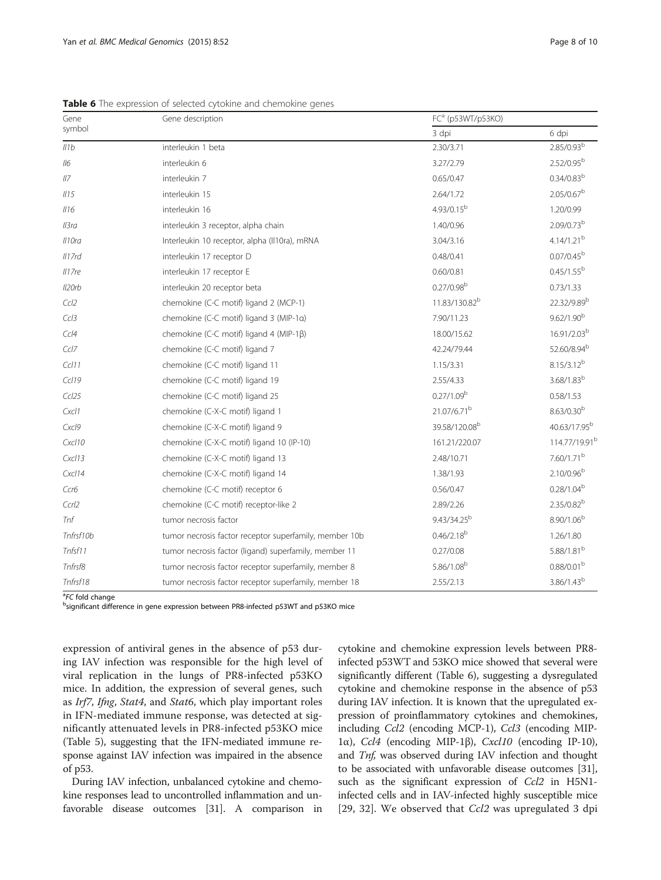| Gene               | Gene description                                       | FC <sup>a</sup> (p53WT/p53KO) |                           |
|--------------------|--------------------------------------------------------|-------------------------------|---------------------------|
| symbol             |                                                        | 3 dpi                         | 6 dpi                     |
| Il1b               | interleukin 1 beta                                     | 2.30/3.71                     | $2.85/0.93^{b}$           |
| 116                | interleukin 6                                          | 3.27/2.79                     | $2.52/0.95^b$             |
| II7                | interleukin 7                                          | 0.65/0.47                     | $0.34/0.83^{b}$           |
| 1115               | interleukin 15                                         | 2.64/1.72                     | $2.05/0.67^b$             |
| II16               | interleukin 16                                         | $4.93/0.15^{b}$               | 1.20/0.99                 |
| $II$ 3ra           | interleukin 3 receptor, alpha chain                    | 1.40/0.96                     | 2.09/0.73 <sup>b</sup>    |
| Il10ra             | Interleukin 10 receptor, alpha (II10ra), mRNA          | 3.04/3.16                     | $4.14/1.21^{b}$           |
| $II$ 7rd           | interleukin 17 receptor D                              | 0.48/0.41                     | $0.07/0.45^{\rm b}$       |
| II7re              | interleukin 17 receptor E                              | 0.60/0.81                     | $0.45/1.55^b$             |
| Il <sub>20rb</sub> | interleukin 20 receptor beta                           | $0.27/0.98^{b}$               | 0.73/1.33                 |
| Ccl2               | chemokine (C-C motif) ligand 2 (MCP-1)                 | 11.83/130.82 <sup>b</sup>     | 22.32/9.89 <sup>b</sup>   |
| Ccl3               | chemokine (C-C motif) ligand 3 (MIP-1a)                | 7.90/11.23                    | $9.62/1.90^{b}$           |
| Cc/4               | chemokine (C-C motif) ligand 4 (MIP-1β)                | 18.00/15.62                   | 16.91/2.03 <sup>b</sup>   |
| Ccl7               | chemokine (C-C motif) ligand 7                         | 42.24/79.44                   | 52.60/8.94 <sup>b</sup>   |
| Ccl11              | chemokine (C-C motif) ligand 11                        | 1.15/3.31                     | $8.15/3.12^{b}$           |
| Ccl19              | chemokine (C-C motif) ligand 19                        | 2.55/4.33                     | $3.68/1.83^{b}$           |
| Ccl25              | chemokine (C-C motif) ligand 25                        | 0.27/1.09 <sup>b</sup>        | 0.58/1.53                 |
| Cxcl1              | chemokine (C-X-C motif) ligand 1                       | 21.07/6.71 <sup>b</sup>       | $8.63/0.30^{b}$           |
| Cxcl9              | chemokine (C-X-C motif) ligand 9                       | 39.58/120.08b                 | 40.63/17.95 <sup>b</sup>  |
| Cxcl10             | chemokine (C-X-C motif) ligand 10 (IP-10)              | 161.21/220.07                 | 114.77/19.91 <sup>b</sup> |
| Cxcl13             | chemokine (C-X-C motif) ligand 13                      | 2.48/10.71                    | 7.60/1.71 <sup>b</sup>    |
| Cxcl14             | chemokine (C-X-C motif) ligand 14                      | 1.38/1.93                     | $2.10/0.96^{b}$           |
| Ccr6               | chemokine (C-C motif) receptor 6                       | 0.56/0.47                     | $0.28/1.04^{b}$           |
| Ccrl2              | chemokine (C-C motif) receptor-like 2                  | 2.89/2.26                     | $2.35/0.82^{b}$           |
| Tnf                | tumor necrosis factor                                  | 9.43/34.25 <sup>b</sup>       | $8.90/1.06^{b}$           |
| Tnfrsf10b          | tumor necrosis factor receptor superfamily, member 10b | $0.46/2.18^{b}$               | 1.26/1.80                 |
| Tnfsf11            | tumor necrosis factor (ligand) superfamily, member 11  | 0.27/0.08                     | 5.88/1.81 <sup>b</sup>    |
| Tnfrsf8            | tumor necrosis factor receptor superfamily, member 8   | $5.86/1.08^{b}$               | 0.88/0.01 <sup>b</sup>    |
| Tnfrsf18           | tumor necrosis factor receptor superfamily, member 18  | 2.55/2.13                     | $3.86/1.43^{b}$           |

<span id="page-7-0"></span>Table 6 The expression of selected cytokine and chemokine genes

<sup>a</sup>FC fold change<br><sup>b</sup>significant diffe

bsignificant difference in gene expression between PR8-infected p53WT and p53KO mice

expression of antiviral genes in the absence of p53 during IAV infection was responsible for the high level of viral replication in the lungs of PR8-infected p53KO mice. In addition, the expression of several genes, such as Irf7, Ifng, Stat4, and Stat6, which play important roles in IFN-mediated immune response, was detected at significantly attenuated levels in PR8-infected p53KO mice (Table [5](#page-5-0)), suggesting that the IFN-mediated immune response against IAV infection was impaired in the absence of p53.

During IAV infection, unbalanced cytokine and chemokine responses lead to uncontrolled inflammation and unfavorable disease outcomes [\[31\]](#page-9-0). A comparison in

cytokine and chemokine expression levels between PR8 infected p53WT and 53KO mice showed that several were significantly different (Table 6), suggesting a dysregulated cytokine and chemokine response in the absence of p53 during IAV infection. It is known that the upregulated expression of proinflammatory cytokines and chemokines, including Ccl2 (encoding MCP-1), Ccl3 (encoding MIP-1α), Ccl4 (encoding MIP-1β), Cxcl10 (encoding IP-10), and Tnf, was observed during IAV infection and thought to be associated with unfavorable disease outcomes [[31](#page-9-0)], such as the significant expression of Ccl2 in H5N1infected cells and in IAV-infected highly susceptible mice [[29, 32\]](#page-9-0). We observed that Ccl2 was upregulated 3 dpi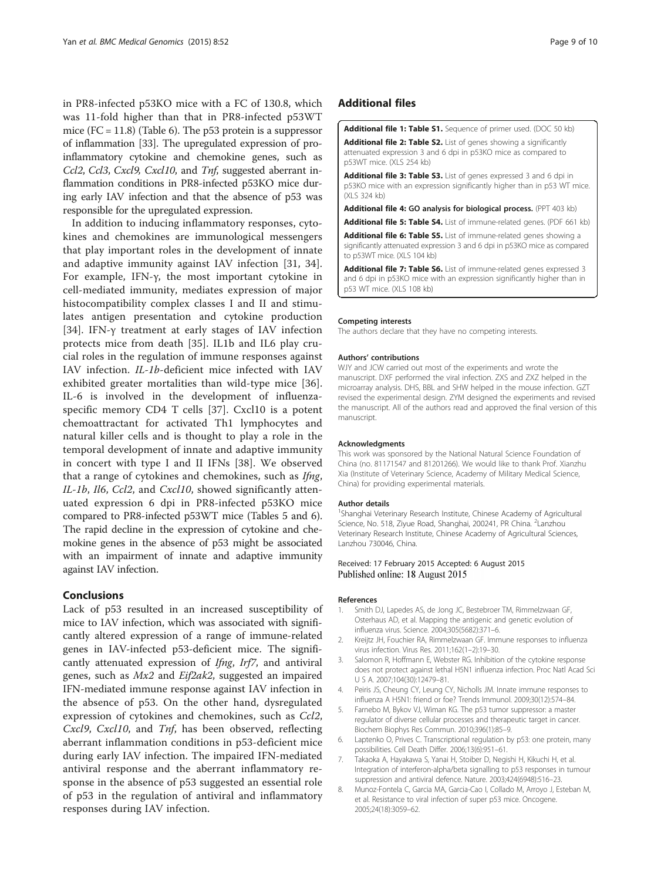<span id="page-8-0"></span>in PR8-infected p53KO mice with a FC of 130.8, which was 11-fold higher than that in PR8-infected p53WT mice  $(FC = 11.8)$  (Table [6\)](#page-7-0). The p53 protein is a suppressor of inflammation [\[33\]](#page-9-0). The upregulated expression of proinflammatory cytokine and chemokine genes, such as Ccl2, Ccl3, Cxcl9, Cxcl10, and Tnf, suggested aberrant inflammation conditions in PR8-infected p53KO mice during early IAV infection and that the absence of p53 was responsible for the upregulated expression.

In addition to inducing inflammatory responses, cytokines and chemokines are immunological messengers that play important roles in the development of innate and adaptive immunity against IAV infection [[31, 34](#page-9-0)]. For example, IFN-γ, the most important cytokine in cell-mediated immunity, mediates expression of major histocompatibility complex classes I and II and stimulates antigen presentation and cytokine production [[34\]](#page-9-0). IFN-γ treatment at early stages of IAV infection protects mice from death [[35\]](#page-9-0). IL1b and IL6 play crucial roles in the regulation of immune responses against IAV infection. IL-1b-deficient mice infected with IAV exhibited greater mortalities than wild-type mice [[36](#page-9-0)]. IL-6 is involved in the development of influenzaspecific memory CD4 T cells [[37\]](#page-9-0). Cxcl10 is a potent chemoattractant for activated Th1 lymphocytes and natural killer cells and is thought to play a role in the temporal development of innate and adaptive immunity in concert with type I and II IFNs [[38\]](#page-9-0). We observed that a range of cytokines and chemokines, such as Ifng, IL-1b, Il6, Ccl2, and Cxcl10, showed significantly attenuated expression 6 dpi in PR8-infected p53KO mice compared to PR8-infected p53WT mice (Tables [5](#page-5-0) and [6](#page-7-0)). The rapid decline in the expression of cytokine and chemokine genes in the absence of p53 might be associated with an impairment of innate and adaptive immunity against IAV infection.

## Conclusions

Lack of p53 resulted in an increased susceptibility of mice to IAV infection, which was associated with significantly altered expression of a range of immune-related genes in IAV-infected p53-deficient mice. The significantly attenuated expression of Ifng, Irf7, and antiviral genes, such as Mx2 and Eif2ak2, suggested an impaired IFN-mediated immune response against IAV infection in the absence of p53. On the other hand, dysregulated expression of cytokines and chemokines, such as Ccl2, Cxcl9, Cxcl10, and Tnf, has been observed, reflecting aberrant inflammation conditions in p53-deficient mice during early IAV infection. The impaired IFN-mediated antiviral response and the aberrant inflammatory response in the absence of p53 suggested an essential role of p53 in the regulation of antiviral and inflammatory responses during IAV infection.

## Additional files

[Additional file 1: Table S1.](http://www.biomedcentral.com/content/supplementary/s12920-015-0127-8-s1.doc) Sequence of primer used. (DOC 50 kb) [Additional file 2: Table S2.](http://www.biomedcentral.com/content/supplementary/s12920-015-0127-8-s2.xls) List of genes showing a significantly attenuated expression 3 and 6 dpi in p53KO mice as compared to p53WT mice. (XLS 254 kb)

[Additional file 3: Table S3.](http://www.biomedcentral.com/content/supplementary/s12920-015-0127-8-s3.xls) List of genes expressed 3 and 6 dpi in p53KO mice with an expression significantly higher than in p53 WT mice. (XLS 324 kb)

[Additional file 4:](http://www.biomedcentral.com/content/supplementary/s12920-015-0127-8-s4.ppt) GO analysis for biological process. (PPT 403 kb)

[Additional file 5: Table S4.](http://www.biomedcentral.com/content/supplementary/s12920-015-0127-8-s5.pdf) List of immune-related genes. (PDF 661 kb)

[Additional file 6: Table S5.](http://www.biomedcentral.com/content/supplementary/s12920-015-0127-8-s6.xls) List of immune-related genes showing a significantly attenuated expression 3 and 6 dpi in p53KO mice as compared to p53WT mice. (XLS 104 kb)

[Additional file 7: Table S6.](http://www.biomedcentral.com/content/supplementary/s12920-015-0127-8-s7.xls) List of immune-related genes expressed 3 and 6 dpi in p53KO mice with an expression significantly higher than in p53 WT mice. (XLS 108 kb)

#### Competing interests

The authors declare that they have no competing interests.

#### Authors' contributions

WJY and JCW carried out most of the experiments and wrote the manuscript. DXF performed the viral infection. ZXS and ZXZ helped in the microarray analysis. DHS, BBL and SHW helped in the mouse infection. GZT revised the experimental design. ZYM designed the experiments and revised the manuscript. All of the authors read and approved the final version of this manuscript.

#### Acknowledgments

This work was sponsored by the National Natural Science Foundation of China (no. 81171547 and 81201266). We would like to thank Prof. Xianzhu Xia (Institute of Veterinary Science, Academy of Military Medical Science, China) for providing experimental materials.

#### Author details

<sup>1</sup>Shanghai Veterinary Research Institute, Chinese Academy of Agricultural Science, No. 518, Ziyue Road, Shanghai, 200241, PR China. <sup>2</sup>Lanzhou Veterinary Research Institute, Chinese Academy of Agricultural Sciences, Lanzhou 730046, China.

#### Received: 17 February 2015 Accepted: 6 August 2015 Published online: 18 August 2015

#### References

- 1. Smith DJ, Lapedes AS, de Jong JC, Bestebroer TM, Rimmelzwaan GF, Osterhaus AD, et al. Mapping the antigenic and genetic evolution of influenza virus. Science. 2004;305(5682):371–6.
- 2. Kreijtz JH, Fouchier RA, Rimmelzwaan GF. Immune responses to influenza virus infection. Virus Res. 2011;162(1–2):19–30.
- 3. Salomon R, Hoffmann E, Webster RG. Inhibition of the cytokine response does not protect against lethal H5N1 influenza infection. Proc Natl Acad Sci U S A. 2007;104(30):12479–81.
- 4. Peiris JS, Cheung CY, Leung CY, Nicholls JM. Innate immune responses to influenza A H5N1: friend or foe? Trends Immunol. 2009;30(12):574–84.
- 5. Farnebo M, Bykov VJ, Wiman KG. The p53 tumor suppressor: a master regulator of diverse cellular processes and therapeutic target in cancer. Biochem Biophys Res Commun. 2010;396(1):85–9.
- 6. Laptenko O, Prives C. Transcriptional regulation by p53: one protein, many possibilities. Cell Death Differ. 2006;13(6):951–61.
- 7. Takaoka A, Hayakawa S, Yanai H, Stoiber D, Negishi H, Kikuchi H, et al. Integration of interferon-alpha/beta signalling to p53 responses in tumour suppression and antiviral defence. Nature. 2003;424(6948):516–23.
- 8. Munoz-Fontela C, Garcia MA, Garcia-Cao I, Collado M, Arroyo J, Esteban M, et al. Resistance to viral infection of super p53 mice. Oncogene. 2005;24(18):3059–62.